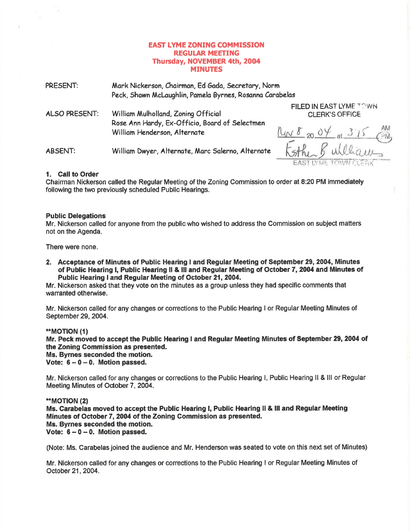# EAST LYME ZONING COMMISSION **REGULAR MEETING** Thursday, NOVEMBER 4th, 2004 **MINUTES**

| PRESENT:             | Mark Nickerson, Chairman, Ed Gada, Secretary, Norm<br>Peck, Shawn McLaughlin, Pamela Byrnes, Rosanna Carabelas        |                                                                  |
|----------------------|-----------------------------------------------------------------------------------------------------------------------|------------------------------------------------------------------|
| <b>ALSO PRESENT:</b> | William Mulholland, Zoning Official<br>Rose Ann Hardy, Ex-Officio, Board of Selectmen<br>William Henderson, Alternate | FILED IN EAST LYME TOWN<br><b>CLERK'S OFFICE</b><br>10082004a315 |
| <b>ABSENT:</b>       | William Dwyer, Alternate, Marc Salerno, Alternate                                                                     | Esthen Buildiam<br>EAST LYME TOWN CLEAK                          |

### 1. Call to Order

Chairman Nickerson called the Regular Meeting of the Zoning Commission to order at 8:20 PM immediately following the two previously scheduled Public Hearings.

### Public Delegations

Mr. Nickerson called for anyone from the public who wished to address the Commission on subject matters not on the Agenda.

There were none.

2. Acceptance of Minutes of Public Hearing I and Regular Meeting of September 29, 2004, Minutes of Public Hearing l, Public Hearing ll & lll and Regular Meeting of October 7,2004 and Minutes of Public Hearing I and Regular Meeting of October 21, 2004.

Mr. Nickerson asked that they vote on the minutes as a group unless they had specific comments that warranted otherwise.

Mr. Nickerson called for any changes or corrections to the Public Hearing I or Regular Meeting Minutes of September 29, 2004.

### \*MOT|ON (1)

Mr. Peck moved to accept the Public Hearing I and Regular Meeting Minutes of September 29, 2004 of the Zoning Commission as presented.

Ms. Bymes seconded the motion.

Vote:  $6 - 0 - 0$ . Motion passed.

Mr. Nickerson called for any changes or corrections to the Public Hearing l, Public Hearing ll & lll or Regular Meeting Minutes of October 7, 2004.

### \*MOT|ON (2)

Ms. Carabelas moved to accept the Public Hearing l, Public Hearing ll & lll and Regular Meeting Minutes of October 7,2004 of the Zoning Commission as presented. Ms. Byrnes seconded the motion. Vote:  $6-0-0$ . Motion passed.

(Note: Ms. Carabelas joined the audience and Mr. Henderson was seated to vote on this next set of Minutes)

Mr. Nickerson called for any changes or corrections to the Public Hearing I or Regular Meeting Minutes of October 21,2004.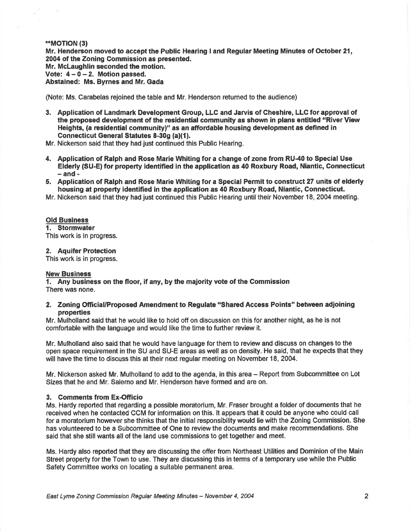### \*MOTION (3)

 $\lambda$ 

Mr. Henderson moved to accept the Public Hearing I and Regular Meeting Minutes of October 21, 2004 of the Zoning Commission as presented. Mr. Mclaughlin seconded the motion. Vote:  $4 - 0 - 2$ . Motion passed. Abstained: Ms. Byrnes and Mr. Gada

(Note: Ms. Carabelas rejoined the table and Mr. Henderson retumed to the audience)

- 3. Application of Landmark Development Group, LLG and Jarvis of Cheshire, LLC for approval of the propoeed development of the residential community as shown in plans entitled "River View Heights, (a residential community)" as an affordable housing development as defined in Connecticut General Statutes 8-30q (a)(1).
- Mr. Nickerson said that they had just continued this Public Hearing.
- 4. Application of Ralph and Rose Marie Whiting for a change of zone from RU-40 to Special Use Elderly (SU-E) for property identified in the application as 40 Roxbury Road, Niantic, Connecticut
- 5. Application of Ralph and Rose Marie Whiting for a Special Permit to construct 27 units of elderly housing at property identified in the application as 40 Roxbury Road, Niantic, Connecticut.
- Mr. Nickerson said that they had just continued this Public Hearing until their November 18,2004 meeting.

#### Old Business

1. Stormwater This work is in progress.

2. Aquifer Protection

This work is in progress.

#### New Business

1. Any business on the floor, if any, by the majority vote of the Commission There was none.

### 2. Zoning Official/Proposed Amendment to Regulate "Shared Access Points" between adjoining properties

Mr. Mulholland said that he would like to hold off on discussion on this for another night, as he is not comfortable with the language and would like the time to further review it.

Mr. Mulholland also said that he would have language for them to review and discuss on changes to the open space requirement in the SU and SU-E areas as well as on density. He said, that he expects that they will have the time to discuss this at their next regular meeting on November 18, 2004.

Mr. Nickerson asked Mr. Mulholland to add to the agenda, in this area – Report from Subcommittee on Lot Sizes that he and Mr. Salerno and Mr. Henderson have formed and are on.

## 3. Comments from Ex-Officio

Ms. Hardy reported that regarding a possible moratorium, Mr. Fraser brought a folder of documents that he received when he contacted CCM for information on this. lt appears that it could be anyone who could call for a moratorium however she thinks that the initial responsibility would lie with the Zoning Commission. She has volunteered to be a Subcommittee of One to review the documents and make recommendations. She said that she still wants all of the land use commissions to get together and meet.

Ms. Hardy also reported that they are discussing the offer from Northeast Utilities and Dominion of the Main Street property for the Town to use. They are discussing this in terms of a temporary use while the Public Safety Committee works on locating a suitable permanent area.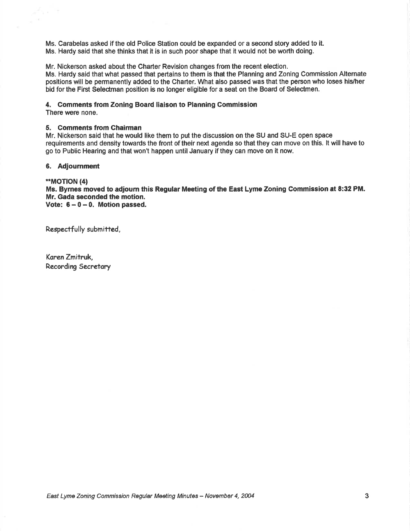Ms. Carabelas asked if the old Police Station could be expanded or a second story added to it. Ms. Hardy said that she thinks that it is in such poor shape that it would not be worth doing.

Mr. Nickerson asked about the Charter Revision changes from the recent election.

Ms. Hardy said that what passed that pertains to them is that the Planning and Zoning Commission Alternate positions will be permanently added to the Charter. What also passed was that the person who loses his/her bid for the First Selectman position is no longer eligible for a seat on the Board of Selectmen.

### 4. Gomments from Zoning Board liaison to Planning Commission

There were none.

 $\overline{\phantom{a}}$ 

 $\mathcal{C}(\mathcal{C})$ 

### 5. Comments from Chairman

Mr. Nickerson said that he would like them to put the discussion on the SU and SU-E open space requirements and density towards the front of their next agenda so that they can move on this. lt will have to go to Public Hearing and that won't happen until January if they can move on it now.

# 6. Adjournment

### \*MOT|ON (4)

Ms. Byrnes moved to adjoum this Regular Meeting of the East Lyme Zoning Commission at 8:32 PM. Mr. Gada seconded the motion. Vote:  $6-0-0$ . Motion passed.

Respectfully submitted,

Koren Zmitruk, Recording Secretory